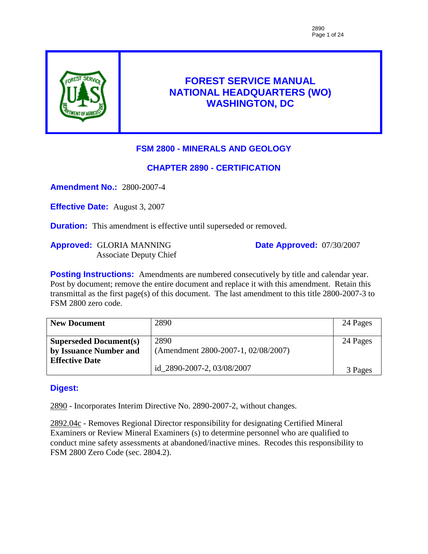

# **FOREST SERVICE MANUAL NATIONAL HEADQUARTERS (WO) WASHINGTON, DC**

# **FSM 2800 - MINERALS AND GEOLOGY**

## **CHAPTER 2890 - CERTIFICATION**

**Amendment No.:** 2800-2007-4

**Effective Date:** August 3, 2007

**Duration:** This amendment is effective until superseded or removed.

**Approved:** GLORIA MANNING Associate Deputy Chief **Date Approved:** 07/30/2007

**Posting Instructions:** Amendments are numbered consecutively by title and calendar year. Post by document; remove the entire document and replace it with this amendment. Retain this transmittal as the first page(s) of this document. The last amendment to this title 2800-2007-3 to FSM 2800 zero code.

| <b>New Document</b>           | 2890                                | 24 Pages |
|-------------------------------|-------------------------------------|----------|
| <b>Superseded Document(s)</b> | 2890                                | 24 Pages |
| by Issuance Number and        | (Amendment 2800-2007-1, 02/08/2007) |          |
| <b>Effective Date</b>         | id 2890-2007-2, 03/08/2007          | 3 Pages  |

# **Digest:**

2890 - Incorporates Interim Directive No. 2890-2007-2, without changes.

2892.04c - Removes Regional Director responsibility for designating Certified Mineral Examiners or Review Mineral Examiners (s) to determine personnel who are qualified to conduct mine safety assessments at abandoned/inactive mines. Recodes this responsibility to FSM 2800 Zero Code (sec. 2804.2).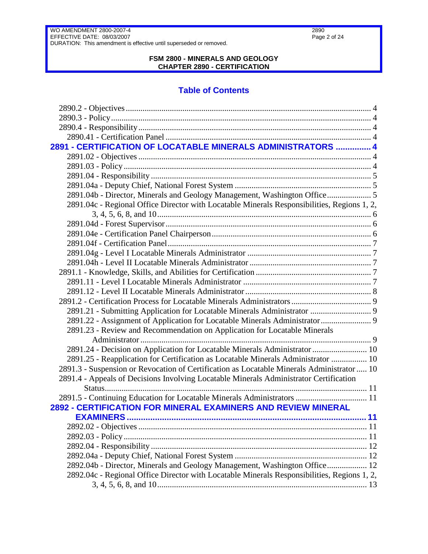2890 Page 2 of 24

#### **FSM 2800 - MINERALS AND GEOLOGY CHAPTER 2890 - CERTIFICATION**

# **Table of Contents**

| 2891 - CERTIFICATION OF LOCATABLE MINERALS ADMINISTRATORS  4                                |    |
|---------------------------------------------------------------------------------------------|----|
|                                                                                             |    |
|                                                                                             |    |
|                                                                                             |    |
|                                                                                             |    |
| 2891.04b - Director, Minerals and Geology Management, Washington Office 5                   |    |
| 2891.04c - Regional Office Director with Locatable Minerals Responsibilities, Regions 1, 2, |    |
|                                                                                             |    |
|                                                                                             |    |
|                                                                                             |    |
|                                                                                             |    |
|                                                                                             |    |
|                                                                                             |    |
|                                                                                             |    |
|                                                                                             |    |
|                                                                                             |    |
|                                                                                             |    |
| 2891.21 - Submitting Application for Locatable Minerals Administrator  9                    |    |
| 2891.22 - Assignment of Application for Locatable Minerals Administrator  9                 |    |
| 2891.23 - Review and Recommendation on Application for Locatable Minerals                   |    |
|                                                                                             |    |
| 2891.24 - Decision on Application for Locatable Minerals Administrator  10                  |    |
| 2891.25 - Reapplication for Certification as Locatable Minerals Administrator  10           |    |
| 2891.3 - Suspension or Revocation of Certification as Locatable Minerals Administrator  10  |    |
| 2891.4 - Appeals of Decisions Involving Locatable Minerals Administrator Certification      |    |
|                                                                                             |    |
| 2891.5 - Continuing Education for Locatable Minerals Administrators  11                     |    |
| 2892 - CERTIFICATION FOR MINERAL EXAMINERS AND REVIEW MINERAL                               |    |
| <b>EXAMINERS</b>                                                                            | 11 |
|                                                                                             |    |
|                                                                                             |    |
|                                                                                             |    |
|                                                                                             |    |
| 2892.04b - Director, Minerals and Geology Management, Washington Office 12                  |    |
| 2892.04c - Regional Office Director with Locatable Minerals Responsibilities, Regions 1, 2, |    |
|                                                                                             |    |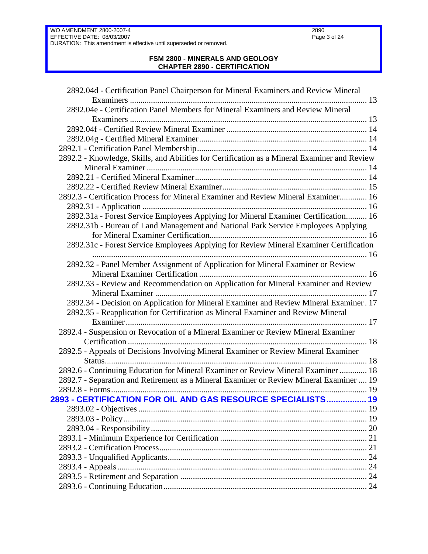#### **FSM 2800 - MINERALS AND GEOLOGY CHAPTER 2890 - CERTIFICATION**

| 2892.04d - Certification Panel Chairperson for Mineral Examiners and Review Mineral          |      |
|----------------------------------------------------------------------------------------------|------|
|                                                                                              |      |
| 2892.04e - Certification Panel Members for Mineral Examiners and Review Mineral              |      |
|                                                                                              |      |
|                                                                                              |      |
|                                                                                              |      |
|                                                                                              |      |
| 2892.2 - Knowledge, Skills, and Abilities for Certification as a Mineral Examiner and Review |      |
|                                                                                              |      |
|                                                                                              |      |
|                                                                                              |      |
| 2892.3 - Certification Process for Mineral Examiner and Review Mineral Examiner 16           |      |
|                                                                                              |      |
| 2892.31a - Forest Service Employees Applying for Mineral Examiner Certification 16           |      |
| 2892.31b - Bureau of Land Management and National Park Service Employees Applying            |      |
|                                                                                              |      |
| 2892.31c - Forest Service Employees Applying for Review Mineral Examiner Certification       |      |
|                                                                                              |      |
| 2892.32 - Panel Member Assignment of Application for Mineral Examiner or Review              |      |
|                                                                                              |      |
| 2892.33 - Review and Recommendation on Application for Mineral Examiner and Review           |      |
|                                                                                              |      |
| 2892.34 - Decision on Application for Mineral Examiner and Review Mineral Examiner. 17       |      |
| 2892.35 - Reapplication for Certification as Mineral Examiner and Review Mineral             |      |
|                                                                                              |      |
| 2892.4 - Suspension or Revocation of a Mineral Examiner or Review Mineral Examiner           |      |
|                                                                                              |      |
| 2892.5 - Appeals of Decisions Involving Mineral Examiner or Review Mineral Examiner          |      |
|                                                                                              |      |
| 2892.6 - Continuing Education for Mineral Examiner or Review Mineral Examiner  18            |      |
| 2892.7 - Separation and Retirement as a Mineral Examiner or Review Mineral Examiner  19      |      |
|                                                                                              |      |
| 2893 - CERTIFICATION FOR OIL AND GAS RESOURCE SPECIALISTS                                    | . 19 |
|                                                                                              |      |
|                                                                                              |      |
|                                                                                              |      |
|                                                                                              |      |
|                                                                                              |      |
|                                                                                              |      |
|                                                                                              |      |
|                                                                                              |      |
|                                                                                              |      |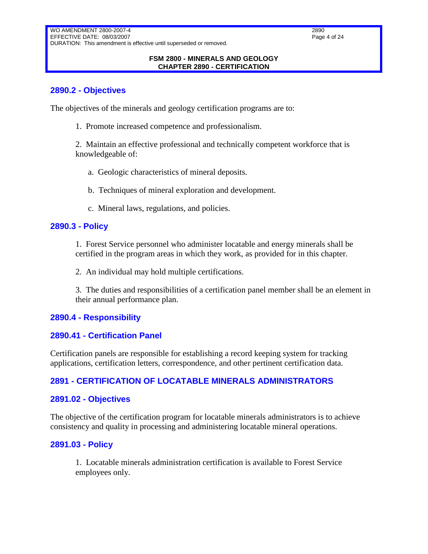#### **FSM 2800 - MINERALS AND GEOLOGY CHAPTER 2890 - CERTIFICATION**

#### <span id="page-3-0"></span>**2890.2 - Objectives**

The objectives of the minerals and geology certification programs are to:

1. Promote increased competence and professionalism.

2. Maintain an effective professional and technically competent workforce that is knowledgeable of:

- a. Geologic characteristics of mineral deposits.
- b. Techniques of mineral exploration and development.
- c. Mineral laws, regulations, and policies.

#### <span id="page-3-1"></span>**2890.3 - Policy**

1. Forest Service personnel who administer locatable and energy minerals shall be certified in the program areas in which they work, as provided for in this chapter.

2. An individual may hold multiple certifications.

3. The duties and responsibilities of a certification panel member shall be an element in their annual performance plan.

#### <span id="page-3-3"></span><span id="page-3-2"></span>**2890.4 - Responsibility**

#### **2890.41 - Certification Panel**

Certification panels are responsible for establishing a record keeping system for tracking applications, certification letters, correspondence, and other pertinent certification data.

#### <span id="page-3-4"></span>**2891 - CERTIFICATION OF LOCATABLE MINERALS ADMINISTRATORS**

#### <span id="page-3-5"></span>**2891.02 - Objectives**

The objective of the certification program for locatable minerals administrators is to achieve consistency and quality in processing and administering locatable mineral operations.

#### <span id="page-3-6"></span>**2891.03 - Policy**

1. Locatable minerals administration certification is available to Forest Service employees only.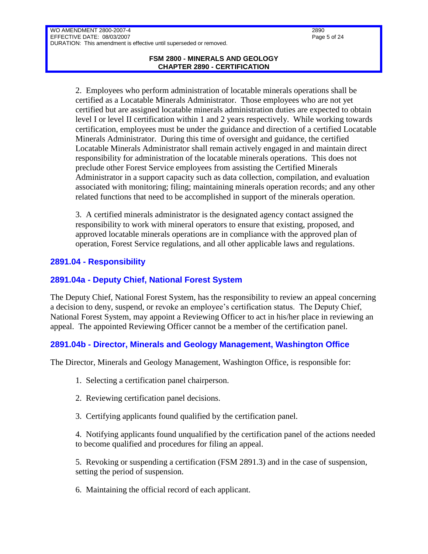2. Employees who perform administration of locatable minerals operations shall be certified as a Locatable Minerals Administrator. Those employees who are not yet certified but are assigned locatable minerals administration duties are expected to obtain level I or level II certification within 1 and 2 years respectively. While working towards certification, employees must be under the guidance and direction of a certified Locatable Minerals Administrator. During this time of oversight and guidance, the certified Locatable Minerals Administrator shall remain actively engaged in and maintain direct responsibility for administration of the locatable minerals operations. This does not preclude other Forest Service employees from assisting the Certified Minerals Administrator in a support capacity such as data collection, compilation, and evaluation associated with monitoring; filing; maintaining minerals operation records; and any other related functions that need to be accomplished in support of the minerals operation.

3. A certified minerals administrator is the designated agency contact assigned the responsibility to work with mineral operators to ensure that existing, proposed, and approved locatable minerals operations are in compliance with the approved plan of operation, Forest Service regulations, and all other applicable laws and regulations.

## <span id="page-4-0"></span>**2891.04 - Responsibility**

## <span id="page-4-1"></span>**2891.04a - Deputy Chief, National Forest System**

The Deputy Chief, National Forest System, has the responsibility to review an appeal concerning a decision to deny, suspend, or revoke an employee's certification status. The Deputy Chief, National Forest System, may appoint a Reviewing Officer to act in his/her place in reviewing an appeal. The appointed Reviewing Officer cannot be a member of the certification panel.

# <span id="page-4-2"></span>**2891.04b - Director, Minerals and Geology Management, Washington Office**

The Director, Minerals and Geology Management, Washington Office, is responsible for:

- 1. Selecting a certification panel chairperson.
- 2. Reviewing certification panel decisions.
- 3. Certifying applicants found qualified by the certification panel.

4. Notifying applicants found unqualified by the certification panel of the actions needed to become qualified and procedures for filing an appeal.

5. Revoking or suspending a certification (FSM 2891.3) and in the case of suspension, setting the period of suspension.

6. Maintaining the official record of each applicant.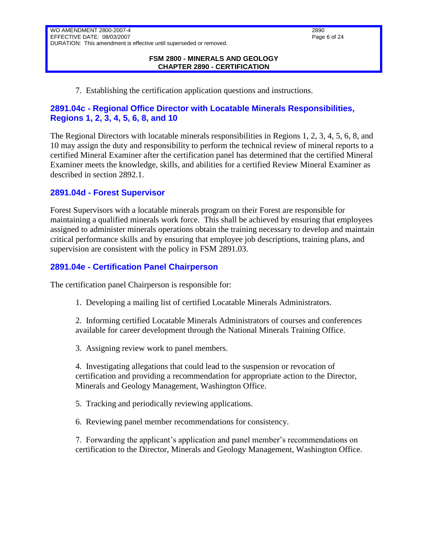7. Establishing the certification application questions and instructions.

## <span id="page-5-0"></span>**2891.04c - Regional Office Director with Locatable Minerals Responsibilities, Regions 1, 2, 3, 4, 5, 6, 8, and 10**

The Regional Directors with locatable minerals responsibilities in Regions 1, 2, 3, 4, 5, 6, 8, and 10 may assign the duty and responsibility to perform the technical review of mineral reports to a certified Mineral Examiner after the certification panel has determined that the certified Mineral Examiner meets the knowledge, skills, and abilities for a certified Review Mineral Examiner as described in section 2892.1.

## <span id="page-5-1"></span>**2891.04d - Forest Supervisor**

Forest Supervisors with a locatable minerals program on their Forest are responsible for maintaining a qualified minerals work force. This shall be achieved by ensuring that employees assigned to administer minerals operations obtain the training necessary to develop and maintain critical performance skills and by ensuring that employee job descriptions, training plans, and supervision are consistent with the policy in FSM 2891.03.

## <span id="page-5-2"></span>**2891.04e - Certification Panel Chairperson**

The certification panel Chairperson is responsible for:

1. Developing a mailing list of certified Locatable Minerals Administrators.

2. Informing certified Locatable Minerals Administrators of courses and conferences available for career development through the National Minerals Training Office.

3. Assigning review work to panel members.

4. Investigating allegations that could lead to the suspension or revocation of certification and providing a recommendation for appropriate action to the Director, Minerals and Geology Management, Washington Office.

5. Tracking and periodically reviewing applications.

6. Reviewing panel member recommendations for consistency.

7. Forwarding the applicant's application and panel member's recommendations on certification to the Director, Minerals and Geology Management, Washington Office.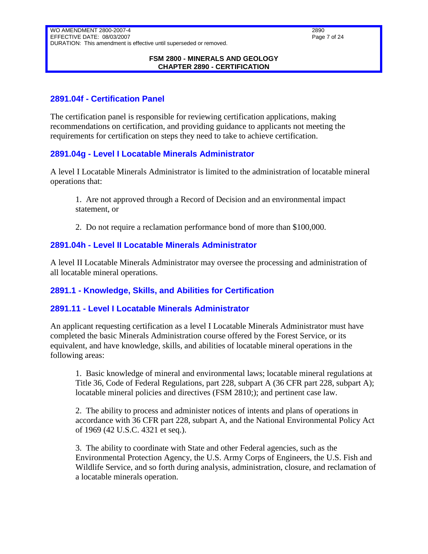#### **FSM 2800 - MINERALS AND GEOLOGY CHAPTER 2890 - CERTIFICATION**

## <span id="page-6-0"></span>**2891.04f - Certification Panel**

The certification panel is responsible for reviewing certification applications, making recommendations on certification, and providing guidance to applicants not meeting the requirements for certification on steps they need to take to achieve certification.

#### <span id="page-6-1"></span>**2891.04g - Level I Locatable Minerals Administrator**

A level I Locatable Minerals Administrator is limited to the administration of locatable mineral operations that:

1. Are not approved through a Record of Decision and an environmental impact statement, or

2. Do not require a reclamation performance bond of more than \$100,000.

## <span id="page-6-2"></span>**2891.04h - Level II Locatable Minerals Administrator**

A level II Locatable Minerals Administrator may oversee the processing and administration of all locatable mineral operations.

# <span id="page-6-3"></span>**2891.1 - Knowledge, Skills, and Abilities for Certification**

#### <span id="page-6-4"></span>**2891.11 - Level I Locatable Minerals Administrator**

An applicant requesting certification as a level I Locatable Minerals Administrator must have completed the basic Minerals Administration course offered by the Forest Service, or its equivalent, and have knowledge, skills, and abilities of locatable mineral operations in the following areas:

1. Basic knowledge of mineral and environmental laws; locatable mineral regulations at Title 36, Code of Federal Regulations, part 228, subpart A (36 CFR part 228, subpart A); locatable mineral policies and directives (FSM 2810;); and pertinent case law.

2. The ability to process and administer notices of intents and plans of operations in accordance with 36 CFR part 228, subpart A, and the National Environmental Policy Act of 1969 (42 U.S.C. 4321 et seq.).

3. The ability to coordinate with State and other Federal agencies, such as the Environmental Protection Agency, the U.S. Army Corps of Engineers, the U.S. Fish and Wildlife Service, and so forth during analysis, administration, closure, and reclamation of a locatable minerals operation.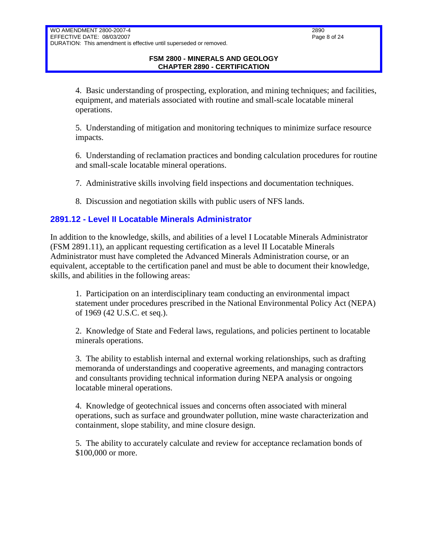4. Basic understanding of prospecting, exploration, and mining techniques; and facilities, equipment, and materials associated with routine and small-scale locatable mineral operations.

5. Understanding of mitigation and monitoring techniques to minimize surface resource impacts.

6. Understanding of reclamation practices and bonding calculation procedures for routine and small-scale locatable mineral operations.

7. Administrative skills involving field inspections and documentation techniques.

8. Discussion and negotiation skills with public users of NFS lands.

## <span id="page-7-0"></span>**2891.12 - Level II Locatable Minerals Administrator**

In addition to the knowledge, skills, and abilities of a level I Locatable Minerals Administrator (FSM 2891.11), an applicant requesting certification as a level II Locatable Minerals Administrator must have completed the Advanced Minerals Administration course, or an equivalent, acceptable to the certification panel and must be able to document their knowledge, skills, and abilities in the following areas:

1. Participation on an interdisciplinary team conducting an environmental impact statement under procedures prescribed in the National Environmental Policy Act (NEPA) of 1969 (42 U.S.C. et seq.).

2. Knowledge of State and Federal laws, regulations, and policies pertinent to locatable minerals operations.

3. The ability to establish internal and external working relationships, such as drafting memoranda of understandings and cooperative agreements, and managing contractors and consultants providing technical information during NEPA analysis or ongoing locatable mineral operations.

4. Knowledge of geotechnical issues and concerns often associated with mineral operations, such as surface and groundwater pollution, mine waste characterization and containment, slope stability, and mine closure design.

5. The ability to accurately calculate and review for acceptance reclamation bonds of \$100,000 or more.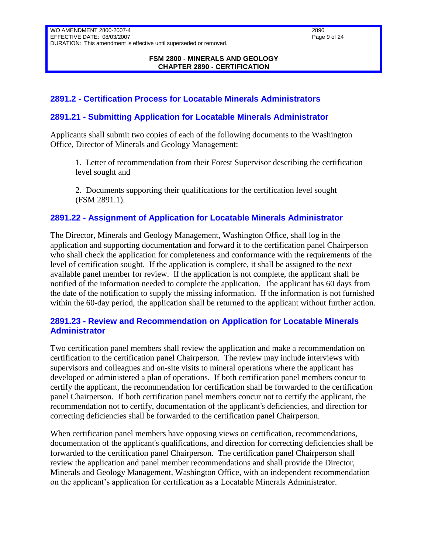#### **FSM 2800 - MINERALS AND GEOLOGY CHAPTER 2890 - CERTIFICATION**

## <span id="page-8-0"></span>**2891.2 - Certification Process for Locatable Minerals Administrators**

## <span id="page-8-1"></span>**2891.21 - Submitting Application for Locatable Minerals Administrator**

Applicants shall submit two copies of each of the following documents to the Washington Office, Director of Minerals and Geology Management:

1. Letter of recommendation from their Forest Supervisor describing the certification level sought and

2. Documents supporting their qualifications for the certification level sought (FSM 2891.1).

#### <span id="page-8-2"></span>**2891.22 - Assignment of Application for Locatable Minerals Administrator**

The Director, Minerals and Geology Management, Washington Office, shall log in the application and supporting documentation and forward it to the certification panel Chairperson who shall check the application for completeness and conformance with the requirements of the level of certification sought. If the application is complete, it shall be assigned to the next available panel member for review. If the application is not complete, the applicant shall be notified of the information needed to complete the application. The applicant has 60 days from the date of the notification to supply the missing information. If the information is not furnished within the 60-day period, the application shall be returned to the applicant without further action.

## <span id="page-8-3"></span>**2891.23 - Review and Recommendation on Application for Locatable Minerals Administrator**

Two certification panel members shall review the application and make a recommendation on certification to the certification panel Chairperson. The review may include interviews with supervisors and colleagues and on-site visits to mineral operations where the applicant has developed or administered a plan of operations. If both certification panel members concur to certify the applicant, the recommendation for certification shall be forwarded to the certification panel Chairperson. If both certification panel members concur not to certify the applicant, the recommendation not to certify, documentation of the applicant's deficiencies, and direction for correcting deficiencies shall be forwarded to the certification panel Chairperson.

When certification panel members have opposing views on certification, recommendations, documentation of the applicant's qualifications, and direction for correcting deficiencies shall be forwarded to the certification panel Chairperson. The certification panel Chairperson shall review the application and panel member recommendations and shall provide the Director, Minerals and Geology Management, Washington Office, with an independent recommendation on the applicant's application for certification as a Locatable Minerals Administrator.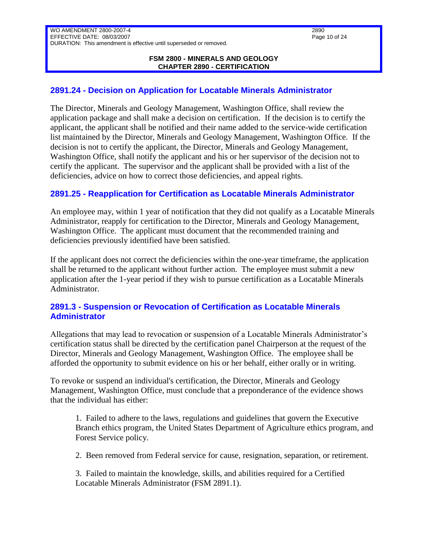## <span id="page-9-0"></span>**2891.24 - Decision on Application for Locatable Minerals Administrator**

The Director, Minerals and Geology Management, Washington Office, shall review the application package and shall make a decision on certification. If the decision is to certify the applicant, the applicant shall be notified and their name added to the service-wide certification list maintained by the Director, Minerals and Geology Management, Washington Office. If the decision is not to certify the applicant, the Director, Minerals and Geology Management, Washington Office, shall notify the applicant and his or her supervisor of the decision not to certify the applicant. The supervisor and the applicant shall be provided with a list of the deficiencies, advice on how to correct those deficiencies, and appeal rights.

## <span id="page-9-1"></span>**2891.25 - Reapplication for Certification as Locatable Minerals Administrator**

An employee may, within 1 year of notification that they did not qualify as a Locatable Minerals Administrator, reapply for certification to the Director, Minerals and Geology Management, Washington Office. The applicant must document that the recommended training and deficiencies previously identified have been satisfied.

If the applicant does not correct the deficiencies within the one-year timeframe, the application shall be returned to the applicant without further action. The employee must submit a new application after the 1-year period if they wish to pursue certification as a Locatable Minerals Administrator.

## <span id="page-9-2"></span>**2891.3 - Suspension or Revocation of Certification as Locatable Minerals Administrator**

Allegations that may lead to revocation or suspension of a Locatable Minerals Administrator's certification status shall be directed by the certification panel Chairperson at the request of the Director, Minerals and Geology Management, Washington Office. The employee shall be afforded the opportunity to submit evidence on his or her behalf, either orally or in writing.

To revoke or suspend an individual's certification, the Director, Minerals and Geology Management, Washington Office, must conclude that a preponderance of the evidence shows that the individual has either:

1. Failed to adhere to the laws, regulations and guidelines that govern the Executive Branch ethics program, the United States Department of Agriculture ethics program, and Forest Service policy.

2. Been removed from Federal service for cause, resignation, separation, or retirement.

3. Failed to maintain the knowledge, skills, and abilities required for a Certified Locatable Minerals Administrator (FSM 2891.1).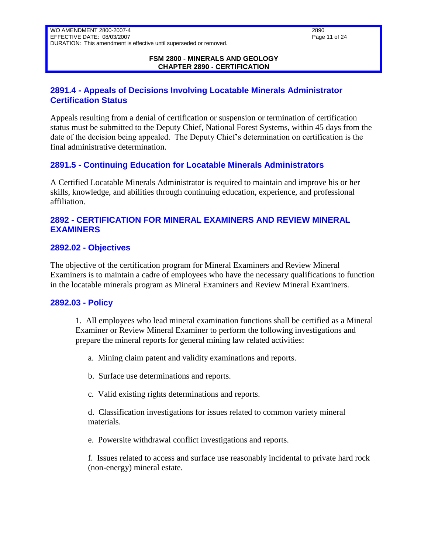#### **FSM 2800 - MINERALS AND GEOLOGY CHAPTER 2890 - CERTIFICATION**

#### <span id="page-10-0"></span>**2891.4 - Appeals of Decisions Involving Locatable Minerals Administrator Certification Status**

Appeals resulting from a denial of certification or suspension or termination of certification status must be submitted to the Deputy Chief, National Forest Systems, within 45 days from the date of the decision being appealed. The Deputy Chief's determination on certification is the final administrative determination.

## <span id="page-10-1"></span>**2891.5 - Continuing Education for Locatable Minerals Administrators**

A Certified Locatable Minerals Administrator is required to maintain and improve his or her skills, knowledge, and abilities through continuing education, experience, and professional affiliation.

#### <span id="page-10-2"></span>**2892 - CERTIFICATION FOR MINERAL EXAMINERS AND REVIEW MINERAL EXAMINERS**

#### <span id="page-10-3"></span>**2892.02 - Objectives**

The objective of the certification program for Mineral Examiners and Review Mineral Examiners is to maintain a cadre of employees who have the necessary qualifications to function in the locatable minerals program as Mineral Examiners and Review Mineral Examiners.

#### <span id="page-10-4"></span>**2892.03 - Policy**

1. All employees who lead mineral examination functions shall be certified as a Mineral Examiner or Review Mineral Examiner to perform the following investigations and prepare the mineral reports for general mining law related activities:

a. Mining claim patent and validity examinations and reports.

- b. Surface use determinations and reports.
- c. Valid existing rights determinations and reports.

d. Classification investigations for issues related to common variety mineral materials.

e. Powersite withdrawal conflict investigations and reports.

f. Issues related to access and surface use reasonably incidental to private hard rock (non-energy) mineral estate.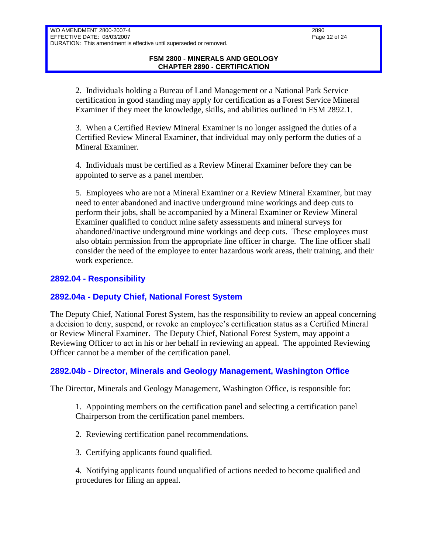2. Individuals holding a Bureau of Land Management or a National Park Service certification in good standing may apply for certification as a Forest Service Mineral Examiner if they meet the knowledge, skills, and abilities outlined in FSM 2892.1.

3. When a Certified Review Mineral Examiner is no longer assigned the duties of a Certified Review Mineral Examiner, that individual may only perform the duties of a Mineral Examiner.

4. Individuals must be certified as a Review Mineral Examiner before they can be appointed to serve as a panel member.

5. Employees who are not a Mineral Examiner or a Review Mineral Examiner, but may need to enter abandoned and inactive underground mine workings and deep cuts to perform their jobs, shall be accompanied by a Mineral Examiner or Review Mineral Examiner qualified to conduct mine safety assessments and mineral surveys for abandoned/inactive underground mine workings and deep cuts. These employees must also obtain permission from the appropriate line officer in charge. The line officer shall consider the need of the employee to enter hazardous work areas, their training, and their work experience.

# <span id="page-11-0"></span>**2892.04 - Responsibility**

# <span id="page-11-1"></span>**2892.04a - Deputy Chief, National Forest System**

The Deputy Chief, National Forest System, has the responsibility to review an appeal concerning a decision to deny, suspend, or revoke an employee's certification status as a Certified Mineral or Review Mineral Examiner. The Deputy Chief, National Forest System, may appoint a Reviewing Officer to act in his or her behalf in reviewing an appeal. The appointed Reviewing Officer cannot be a member of the certification panel.

#### <span id="page-11-2"></span>**2892.04b - Director, Minerals and Geology Management, Washington Office**

The Director, Minerals and Geology Management, Washington Office, is responsible for:

1. Appointing members on the certification panel and selecting a certification panel Chairperson from the certification panel members.

- 2. Reviewing certification panel recommendations.
- 3. Certifying applicants found qualified.

4. Notifying applicants found unqualified of actions needed to become qualified and procedures for filing an appeal.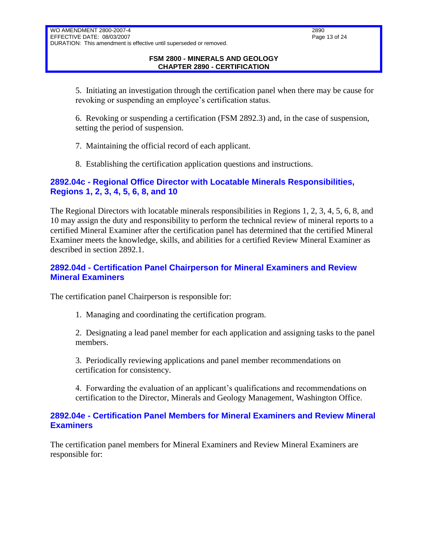5. Initiating an investigation through the certification panel when there may be cause for revoking or suspending an employee's certification status.

6. Revoking or suspending a certification (FSM 2892.3) and, in the case of suspension, setting the period of suspension.

- 7. Maintaining the official record of each applicant.
- 8. Establishing the certification application questions and instructions.

## <span id="page-12-0"></span>**2892.04c - Regional Office Director with Locatable Minerals Responsibilities, Regions 1, 2, 3, 4, 5, 6, 8, and 10**

The Regional Directors with locatable minerals responsibilities in Regions 1, 2, 3, 4, 5, 6, 8, and 10 may assign the duty and responsibility to perform the technical review of mineral reports to a certified Mineral Examiner after the certification panel has determined that the certified Mineral Examiner meets the knowledge, skills, and abilities for a certified Review Mineral Examiner as described in section 2892.1.

## <span id="page-12-1"></span>**2892.04d - Certification Panel Chairperson for Mineral Examiners and Review Mineral Examiners**

The certification panel Chairperson is responsible for:

1. Managing and coordinating the certification program.

2. Designating a lead panel member for each application and assigning tasks to the panel members.

3. Periodically reviewing applications and panel member recommendations on certification for consistency.

4. Forwarding the evaluation of an applicant's qualifications and recommendations on certification to the Director, Minerals and Geology Management, Washington Office.

## <span id="page-12-2"></span>**2892.04e - Certification Panel Members for Mineral Examiners and Review Mineral Examiners**

The certification panel members for Mineral Examiners and Review Mineral Examiners are responsible for: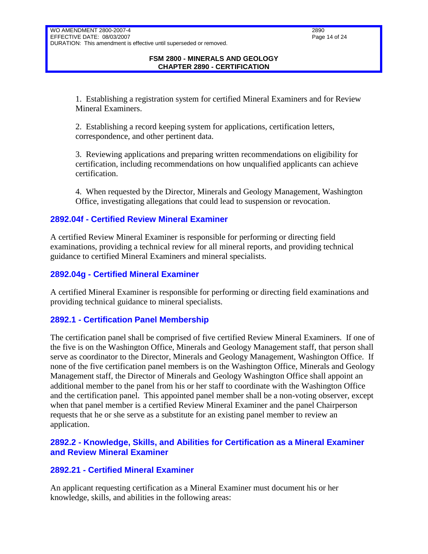1. Establishing a registration system for certified Mineral Examiners and for Review Mineral Examiners.

2. Establishing a record keeping system for applications, certification letters, correspondence, and other pertinent data.

3. Reviewing applications and preparing written recommendations on eligibility for certification, including recommendations on how unqualified applicants can achieve certification.

4. When requested by the Director, Minerals and Geology Management, Washington Office, investigating allegations that could lead to suspension or revocation.

#### <span id="page-13-0"></span>**2892.04f - Certified Review Mineral Examiner**

A certified Review Mineral Examiner is responsible for performing or directing field examinations, providing a technical review for all mineral reports, and providing technical guidance to certified Mineral Examiners and mineral specialists.

## <span id="page-13-1"></span>**2892.04g - Certified Mineral Examiner**

A certified Mineral Examiner is responsible for performing or directing field examinations and providing technical guidance to mineral specialists.

# <span id="page-13-2"></span>**2892.1 - Certification Panel Membership**

The certification panel shall be comprised of five certified Review Mineral Examiners. If one of the five is on the Washington Office, Minerals and Geology Management staff, that person shall serve as coordinator to the Director, Minerals and Geology Management, Washington Office. If none of the five certification panel members is on the Washington Office, Minerals and Geology Management staff, the Director of Minerals and Geology Washington Office shall appoint an additional member to the panel from his or her staff to coordinate with the Washington Office and the certification panel. This appointed panel member shall be a non-voting observer, except when that panel member is a certified Review Mineral Examiner and the panel Chairperson requests that he or she serve as a substitute for an existing panel member to review an application.

## <span id="page-13-3"></span>**2892.2 - Knowledge, Skills, and Abilities for Certification as a Mineral Examiner and Review Mineral Examiner**

#### <span id="page-13-4"></span>**2892.21 - Certified Mineral Examiner**

An applicant requesting certification as a Mineral Examiner must document his or her knowledge, skills, and abilities in the following areas: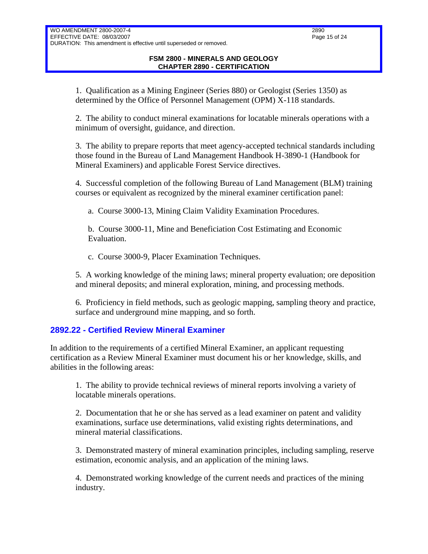1. Qualification as a Mining Engineer (Series 880) or Geologist (Series 1350) as determined by the Office of Personnel Management (OPM) X-118 standards.

2. The ability to conduct mineral examinations for locatable minerals operations with a minimum of oversight, guidance, and direction.

3. The ability to prepare reports that meet agency-accepted technical standards including those found in the Bureau of Land Management Handbook H-3890-1 (Handbook for Mineral Examiners) and applicable Forest Service directives.

4. Successful completion of the following Bureau of Land Management (BLM) training courses or equivalent as recognized by the mineral examiner certification panel:

a. Course 3000-13, Mining Claim Validity Examination Procedures.

b. Course 3000-11, Mine and Beneficiation Cost Estimating and Economic Evaluation.

c. Course 3000-9, Placer Examination Techniques.

5. A working knowledge of the mining laws; mineral property evaluation; ore deposition and mineral deposits; and mineral exploration, mining, and processing methods.

6. Proficiency in field methods, such as geologic mapping, sampling theory and practice, surface and underground mine mapping, and so forth.

# <span id="page-14-0"></span>**2892.22 - Certified Review Mineral Examiner**

In addition to the requirements of a certified Mineral Examiner, an applicant requesting certification as a Review Mineral Examiner must document his or her knowledge, skills, and abilities in the following areas:

1. The ability to provide technical reviews of mineral reports involving a variety of locatable minerals operations.

2. Documentation that he or she has served as a lead examiner on patent and validity examinations, surface use determinations, valid existing rights determinations, and mineral material classifications.

3. Demonstrated mastery of mineral examination principles, including sampling, reserve estimation, economic analysis, and an application of the mining laws.

4. Demonstrated working knowledge of the current needs and practices of the mining industry.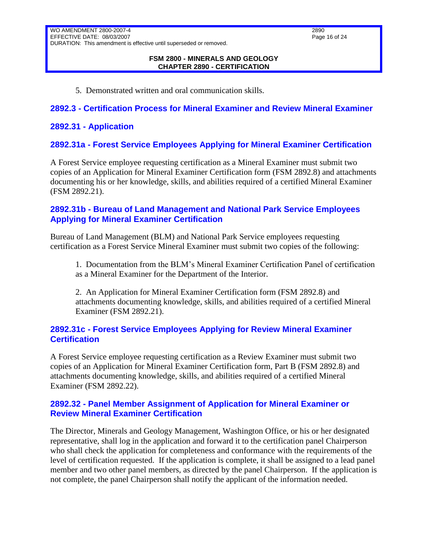#### **FSM 2800 - MINERALS AND GEOLOGY CHAPTER 2890 - CERTIFICATION**

5. Demonstrated written and oral communication skills.

## <span id="page-15-0"></span>**2892.3 - Certification Process for Mineral Examiner and Review Mineral Examiner**

## <span id="page-15-1"></span>**2892.31 - Application**

# <span id="page-15-2"></span>**2892.31a - Forest Service Employees Applying for Mineral Examiner Certification**

A Forest Service employee requesting certification as a Mineral Examiner must submit two copies of an Application for Mineral Examiner Certification form (FSM 2892.8) and attachments documenting his or her knowledge, skills, and abilities required of a certified Mineral Examiner (FSM 2892.21).

#### <span id="page-15-3"></span>**2892.31b - Bureau of Land Management and National Park Service Employees Applying for Mineral Examiner Certification**

Bureau of Land Management (BLM) and National Park Service employees requesting certification as a Forest Service Mineral Examiner must submit two copies of the following:

1. Documentation from the BLM's Mineral Examiner Certification Panel of certification as a Mineral Examiner for the Department of the Interior.

2. An Application for Mineral Examiner Certification form (FSM 2892.8) and attachments documenting knowledge, skills, and abilities required of a certified Mineral Examiner (FSM 2892.21).

#### <span id="page-15-4"></span>**2892.31c - Forest Service Employees Applying for Review Mineral Examiner Certification**

A Forest Service employee requesting certification as a Review Examiner must submit two copies of an Application for Mineral Examiner Certification form, Part B (FSM 2892.8) and attachments documenting knowledge, skills, and abilities required of a certified Mineral Examiner (FSM 2892.22).

#### <span id="page-15-5"></span>**2892.32 - Panel Member Assignment of Application for Mineral Examiner or Review Mineral Examiner Certification**

The Director, Minerals and Geology Management, Washington Office, or his or her designated representative, shall log in the application and forward it to the certification panel Chairperson who shall check the application for completeness and conformance with the requirements of the level of certification requested. If the application is complete, it shall be assigned to a lead panel member and two other panel members, as directed by the panel Chairperson. If the application is not complete, the panel Chairperson shall notify the applicant of the information needed.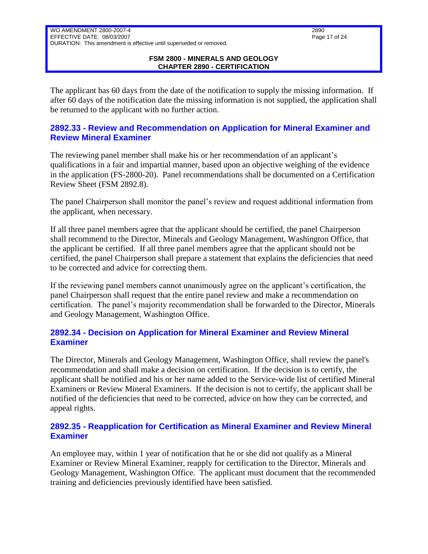#### **FSM 2800 - MINERALS AND GEOLOGY CHAPTER 2890 - CERTIFICATION**

The applicant has 60 days from the date of the notification to supply the missing information. If after 60 days of the notification date the missing information is not supplied, the application shall be returned to the applicant with no further action.

## <span id="page-16-0"></span>**2892.33 - Review and Recommendation on Application for Mineral Examiner and Review Mineral Examiner**

The reviewing panel member shall make his or her recommendation of an applicant's qualifications in a fair and impartial manner, based upon an objective weighing of the evidence in the application (FS-2800-20). Panel recommendations shall be documented on a Certification Review Sheet (FSM 2892.8).

The panel Chairperson shall monitor the panel's review and request additional information from the applicant, when necessary.

If all three panel members agree that the applicant should be certified, the panel Chairperson shall recommend to the Director, Minerals and Geology Management, Washington Office, that the applicant be certified. If all three panel members agree that the applicant should not be certified, the panel Chairperson shall prepare a statement that explains the deficiencies that need to be corrected and advice for correcting them.

If the reviewing panel members cannot unanimously agree on the applicant's certification, the panel Chairperson shall request that the entire panel review and make a recommendation on certification. The panel's majority recommendation shall be forwarded to the Director, Minerals and Geology Management, Washington Office.

## <span id="page-16-1"></span>**2892.34 - Decision on Application for Mineral Examiner and Review Mineral Examiner**

The Director, Minerals and Geology Management, Washington Office, shall review the panel's recommendation and shall make a decision on certification. If the decision is to certify, the applicant shall be notified and his or her name added to the Service-wide list of certified Mineral Examiners or Review Mineral Examiners. If the decision is not to certify, the applicant shall be notified of the deficiencies that need to be corrected, advice on how they can be corrected, and appeal rights.

## <span id="page-16-2"></span>**2892.35 - Reapplication for Certification as Mineral Examiner and Review Mineral Examiner**

An employee may, within 1 year of notification that he or she did not qualify as a Mineral Examiner or Review Mineral Examiner, reapply for certification to the Director, Minerals and Geology Management, Washington Office. The applicant must document that the recommended training and deficiencies previously identified have been satisfied.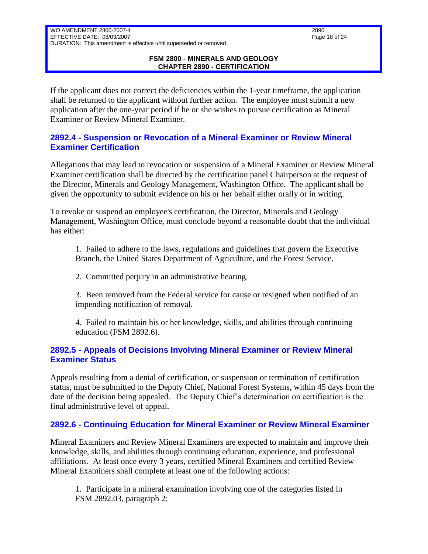#### **FSM 2800 - MINERALS AND GEOLOGY CHAPTER 2890 - CERTIFICATION**

If the applicant does not correct the deficiencies within the 1-year timeframe, the application shall be returned to the applicant without further action. The employee must submit a new application after the one-year period if he or she wishes to pursue certification as Mineral Examiner or Review Mineral Examiner.

#### <span id="page-17-0"></span>**2892.4 - Suspension or Revocation of a Mineral Examiner or Review Mineral Examiner Certification**

Allegations that may lead to revocation or suspension of a Mineral Examiner or Review Mineral Examiner certification shall be directed by the certification panel Chairperson at the request of the Director, Minerals and Geology Management, Washington Office. The applicant shall be given the opportunity to submit evidence on his or her behalf either orally or in writing.

To revoke or suspend an employee's certification, the Director, Minerals and Geology Management, Washington Office, must conclude beyond a reasonable doubt that the individual has either:

1. Failed to adhere to the laws, regulations and guidelines that govern the Executive Branch, the United States Department of Agriculture, and the Forest Service.

2. Committed perjury in an administrative hearing.

3. Been removed from the Federal service for cause or resigned when notified of an impending notification of removal.

4. Failed to maintain his or her knowledge, skills, and abilities through continuing education (FSM 2892.6).

## <span id="page-17-1"></span>**2892.5 - Appeals of Decisions Involving Mineral Examiner or Review Mineral Examiner Status**

Appeals resulting from a denial of certification, or suspension or termination of certification status, must be submitted to the Deputy Chief, National Forest Systems, within 45 days from the date of the decision being appealed. The Deputy Chief's determination on certification is the final administrative level of appeal.

# <span id="page-17-2"></span>**2892.6 - Continuing Education for Mineral Examiner or Review Mineral Examiner**

Mineral Examiners and Review Mineral Examiners are expected to maintain and improve their knowledge, skills, and abilities through continuing education, experience, and professional affiliations. At least once every 3 years, certified Mineral Examiners and certified Review Mineral Examiners shall complete at least one of the following actions:

1. Participate in a mineral examination involving one of the categories listed in FSM 2892.03, paragraph 2;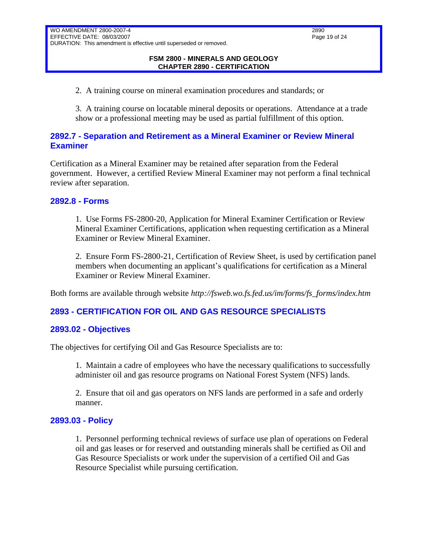2. A training course on mineral examination procedures and standards; or

3. A training course on locatable mineral deposits or operations. Attendance at a trade show or a professional meeting may be used as partial fulfillment of this option.

## <span id="page-18-0"></span>**2892.7 - Separation and Retirement as a Mineral Examiner or Review Mineral Examiner**

Certification as a Mineral Examiner may be retained after separation from the Federal government. However, a certified Review Mineral Examiner may not perform a final technical review after separation.

#### <span id="page-18-1"></span>**2892.8 - Forms**

1. Use Forms FS-2800-20, Application for Mineral Examiner Certification or Review Mineral Examiner Certifications, application when requesting certification as a Mineral Examiner or Review Mineral Examiner.

2. Ensure Form FS-2800-21, Certification of Review Sheet, is used by certification panel members when documenting an applicant's qualifications for certification as a Mineral Examiner or Review Mineral Examiner.

Both forms are available through website *http://fsweb.wo.fs.fed.us/im/forms/fs\_forms/index.htm*

# <span id="page-18-2"></span>**2893 - CERTIFICATION FOR OIL AND GAS RESOURCE SPECIALISTS**

#### <span id="page-18-3"></span>**2893.02 - Objectives**

The objectives for certifying Oil and Gas Resource Specialists are to:

1. Maintain a cadre of employees who have the necessary qualifications to successfully administer oil and gas resource programs on National Forest System (NFS) lands.

2. Ensure that oil and gas operators on NFS lands are performed in a safe and orderly manner.

#### <span id="page-18-4"></span>**2893.03 - Policy**

1. Personnel performing technical reviews of surface use plan of operations on Federal oil and gas leases or for reserved and outstanding minerals shall be certified as Oil and Gas Resource Specialists or work under the supervision of a certified Oil and Gas Resource Specialist while pursuing certification.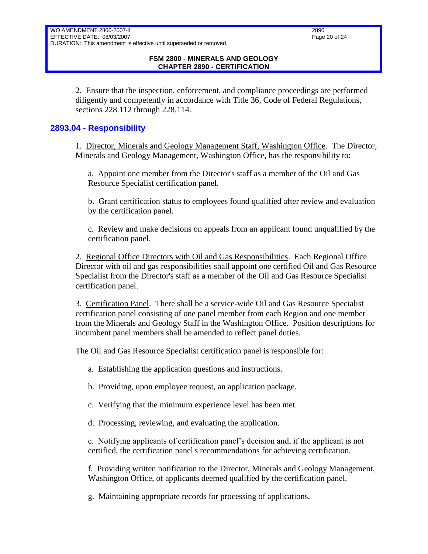2. Ensure that the inspection, enforcement, and compliance proceedings are performed diligently and competently in accordance with Title 36, Code of Federal Regulations, sections 228.112 through 228.114.

#### <span id="page-19-0"></span>**2893.04 - Responsibility**

1. Director, Minerals and Geology Management Staff, Washington Office. The Director, Minerals and Geology Management, Washington Office, has the responsibility to:

a. Appoint one member from the Director's staff as a member of the Oil and Gas Resource Specialist certification panel.

b. Grant certification status to employees found qualified after review and evaluation by the certification panel.

c. Review and make decisions on appeals from an applicant found unqualified by the certification panel.

2. Regional Office Directors with Oil and Gas Responsibilities. Each Regional Office Director with oil and gas responsibilities shall appoint one certified Oil and Gas Resource Specialist from the Director's staff as a member of the Oil and Gas Resource Specialist certification panel.

3. Certification Panel. There shall be a service-wide Oil and Gas Resource Specialist certification panel consisting of one panel member from each Region and one member from the Minerals and Geology Staff in the Washington Office. Position descriptions for incumbent panel members shall be amended to reflect panel duties.

The Oil and Gas Resource Specialist certification panel is responsible for:

a. Establishing the application questions and instructions.

b. Providing, upon employee request, an application package.

- c. Verifying that the minimum experience level has been met.
- d. Processing, reviewing, and evaluating the application.

e. Notifying applicants of certification panel's decision and, if the applicant is not certified, the certification panel's recommendations for achieving certification.

f. Providing written notification to the Director, Minerals and Geology Management, Washington Office, of applicants deemed qualified by the certification panel.

g. Maintaining appropriate records for processing of applications.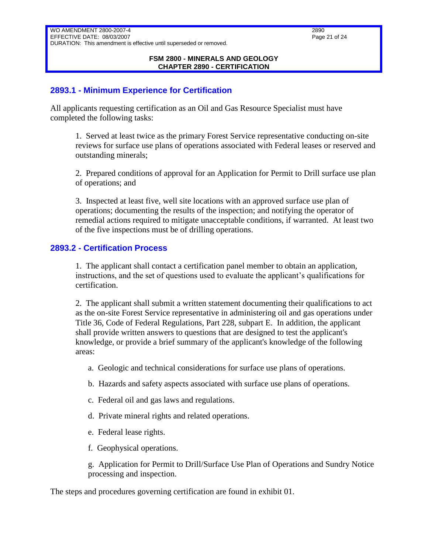#### **FSM 2800 - MINERALS AND GEOLOGY CHAPTER 2890 - CERTIFICATION**

#### <span id="page-20-0"></span>**2893.1 - Minimum Experience for Certification**

All applicants requesting certification as an Oil and Gas Resource Specialist must have completed the following tasks:

1. Served at least twice as the primary Forest Service representative conducting on-site reviews for surface use plans of operations associated with Federal leases or reserved and outstanding minerals;

2. Prepared conditions of approval for an Application for Permit to Drill surface use plan of operations; and

3. Inspected at least five, well site locations with an approved surface use plan of operations; documenting the results of the inspection; and notifying the operator of remedial actions required to mitigate unacceptable conditions, if warranted. At least two of the five inspections must be of drilling operations.

#### <span id="page-20-1"></span>**2893.2 - Certification Process**

1. The applicant shall contact a certification panel member to obtain an application, instructions, and the set of questions used to evaluate the applicant's qualifications for certification.

2. The applicant shall submit a written statement documenting their qualifications to act as the on-site Forest Service representative in administering oil and gas operations under Title 36, Code of Federal Regulations, Part 228, subpart E. In addition, the applicant shall provide written answers to questions that are designed to test the applicant's knowledge, or provide a brief summary of the applicant's knowledge of the following areas:

- a. Geologic and technical considerations for surface use plans of operations.
- b. Hazards and safety aspects associated with surface use plans of operations.
- c. Federal oil and gas laws and regulations.
- d. Private mineral rights and related operations.
- e. Federal lease rights.
- f. Geophysical operations.

g. Application for Permit to Drill/Surface Use Plan of Operations and Sundry Notice processing and inspection.

The steps and procedures governing certification are found in exhibit 01.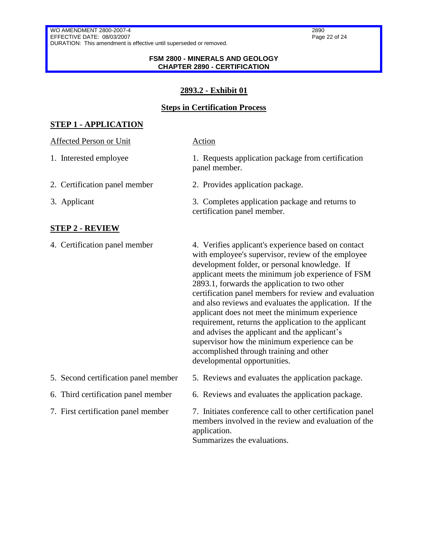#### **FSM 2800 - MINERALS AND GEOLOGY CHAPTER 2890 - CERTIFICATION**

#### **2893.2 - Exhibit 01**

#### **Steps in Certification Process**

#### **STEP 1 - APPLICATION**

| <b>Affected Person or Unit</b> | Action                                                                                                                                                                                                                                                                                                                                                                                                                                                                                                                                                                                                                                     |
|--------------------------------|--------------------------------------------------------------------------------------------------------------------------------------------------------------------------------------------------------------------------------------------------------------------------------------------------------------------------------------------------------------------------------------------------------------------------------------------------------------------------------------------------------------------------------------------------------------------------------------------------------------------------------------------|
| 1. Interested employee         | 1. Requests application package from certification<br>panel member.                                                                                                                                                                                                                                                                                                                                                                                                                                                                                                                                                                        |
| 2. Certification panel member  | 2. Provides application package.                                                                                                                                                                                                                                                                                                                                                                                                                                                                                                                                                                                                           |
| 3. Applicant                   | 3. Completes application package and returns to<br>certification panel member.                                                                                                                                                                                                                                                                                                                                                                                                                                                                                                                                                             |
| <b>STEP 2 - REVIEW</b>         |                                                                                                                                                                                                                                                                                                                                                                                                                                                                                                                                                                                                                                            |
| 4. Certification panel member  | 4. Verifies applicant's experience based on contact<br>with employee's supervisor, review of the employee<br>development folder, or personal knowledge. If<br>applicant meets the minimum job experience of FSM<br>2893.1, forwards the application to two other<br>certification panel members for review and evaluation<br>and also reviews and evaluates the application. If the<br>applicant does not meet the minimum experience<br>requirement, returns the application to the applicant<br>and advises the applicant and the applicant's<br>supervisor how the minimum experience can be<br>accomplished through training and other |

- 
- 
- 
- 5. Second certification panel member 5. Reviews and evaluates the application package.
- 6. Third certification panel member 6. Reviews and evaluates the application package.
- 7. First certification panel member 7. Initiates conference call to other certification panel members involved in the review and evaluation of the application.

Summarizes the evaluations.

developmental opportunities.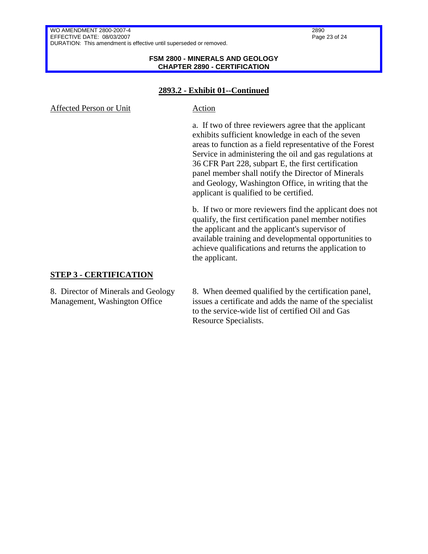#### **FSM 2800 - MINERALS AND GEOLOGY CHAPTER 2890 - CERTIFICATION**

#### **2893.2 - Exhibit 01--Continued**

Affected Person or Unit Action a. If two of three reviewers agree that the applicant exhibits sufficient knowledge in each of the seven areas to function as a field representative of the Forest Service in administering the oil and gas regulations at 36 CFR Part 228, subpart E, the first certification panel member shall notify the Director of Minerals and Geology, Washington Office, in writing that the applicant is qualified to be certified. b. If two or more reviewers find the applicant does not qualify, the first certification panel member notifies the applicant and the applicant's supervisor of available training and developmental opportunities to achieve qualifications and returns the application to the applicant.

#### **STEP 3 - CERTIFICATION**

8. Director of Minerals and Geology Management, Washington Office

8. When deemed qualified by the certification panel, issues a certificate and adds the name of the specialist to the service-wide list of certified Oil and Gas Resource Specialists.